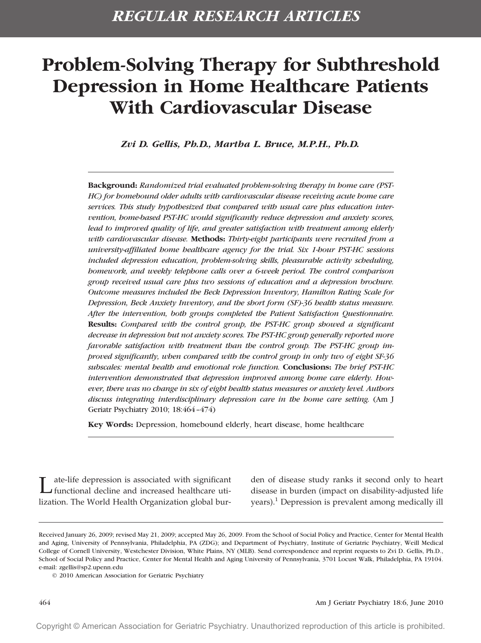# **Problem-Solving Therapy for Subthreshold Depression in Home Healthcare Patients With Cardiovascular Disease**

*Zvi D. Gellis, Ph.D., Martha L. Bruce, M.P.H., Ph.D.*

**Background:** *Randomized trial evaluated problem-solving therapy in home care (PST-HC) for homebound older adults with cardiovascular disease receiving acute home care services. This study hypothesized that compared with usual care plus education intervention, home-based PST-HC would significantly reduce depression and anxiety scores, lead to improved quality of life, and greater satisfaction with treatment among elderly with cardiovascular disease.* **Methods:** *Thirty-eight participants were recruited from a university-affiliated home healthcare agency for the trial. Six 1-hour PST-HC sessions included depression education, problem-solving skills, pleasurable activity scheduling, homework, and weekly telephone calls over a 6-week period. The control comparison group received usual care plus two sessions of education and a depression brochure. Outcome measures included the Beck Depression Inventory, Hamilton Rating Scale for Depression, Beck Anxiety Inventory, and the short form (SF)-36 health status measure. After the intervention, both groups completed the Patient Satisfaction Questionnaire.* **Results:** *Compared with the control group, the PST-HC group showed a significant decrease in depression but not anxiety scores. The PST-HC group generally reported more favorable satisfaction with treatment than the control group. The PST-HC group improved significantly, when compared with the control group in only two of eight SF-36 subscales: mental health and emotional role function.* **Conclusions:** *The brief PST-HC intervention demonstrated that depression improved among home care elderly. However, there was no change in six of eight health status measures or anxiety level. Authors discuss integrating interdisciplinary depression care in the home care setting.* (Am J Geriatr Psychiatry 2010; 18:464 –474)

**Key Words:** Depression, homebound elderly, heart disease, home healthcare

Late-life depression is associated with significant<br>functional decline and increased healthcare utilization. The World Health Organization global bur-

den of disease study ranks it second only to heart disease in burden (impact on disability-adjusted life years).<sup>1</sup> Depression is prevalent among medically ill

© 2010 American Association for Geriatric Psychiatry

464 Am J Geriatr Psychiatry 18:6, June 2010

Received January 26, 2009; revised May 21, 2009; accepted May 26, 2009. From the School of Social Policy and Practice, Center for Mental Health and Aging, University of Pennsylvania, Philadelphia, PA (ZDG); and Department of Psychiatry, Institute of Geriatric Psychiatry, Weill Medical College of Cornell University, Westchester Division, White Plains, NY (MLB). Send correspondence and reprint requests to Zvi D. Gellis, Ph.D., School of Social Policy and Practice, Center for Mental Health and Aging University of Pennsylvania, 3701 Locust Walk, Philadelphia, PA 19104. e-mail: zgellis@sp2.upenn.edu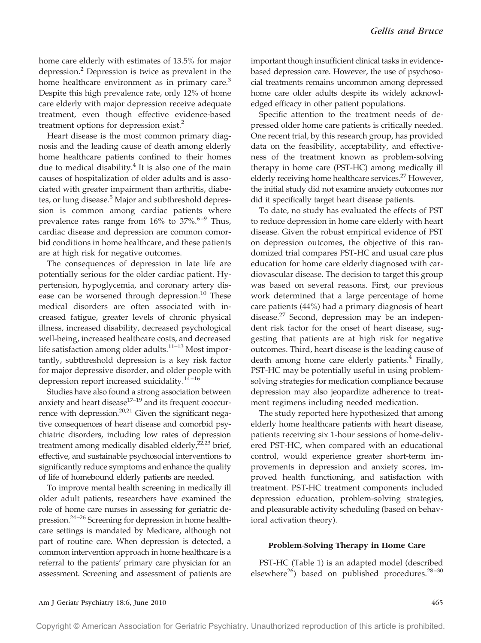home care elderly with estimates of 13.5% for major depression.2 Depression is twice as prevalent in the home healthcare environment as in primary care.<sup>3</sup> Despite this high prevalence rate, only 12% of home care elderly with major depression receive adequate treatment, even though effective evidence-based treatment options for depression exist.<sup>2</sup>

Heart disease is the most common primary diagnosis and the leading cause of death among elderly home healthcare patients confined to their homes due to medical disability. $<sup>4</sup>$  It is also one of the main</sup> causes of hospitalization of older adults and is associated with greater impairment than arthritis, diabetes, or lung disease.<sup>5</sup> Major and subthreshold depression is common among cardiac patients where prevalence rates range from  $16\%$  to  $37\%$ .<sup>6-9</sup> Thus, cardiac disease and depression are common comorbid conditions in home healthcare, and these patients are at high risk for negative outcomes.

The consequences of depression in late life are potentially serious for the older cardiac patient. Hypertension, hypoglycemia, and coronary artery disease can be worsened through depression.<sup>10</sup> These medical disorders are often associated with increased fatigue, greater levels of chronic physical illness, increased disability, decreased psychological well-being, increased healthcare costs, and decreased life satisfaction among older adults. $11-13$  Most importantly, subthreshold depression is a key risk factor for major depressive disorder, and older people with depression report increased suicidality.<sup>14-16</sup>

Studies have also found a strong association between anxiety and heart disease $17-19$  and its frequent cooccurrence with depression.<sup>20,21</sup> Given the significant negative consequences of heart disease and comorbid psychiatric disorders, including low rates of depression treatment among medically disabled elderly,<sup>22,23</sup> brief, effective, and sustainable psychosocial interventions to significantly reduce symptoms and enhance the quality of life of homebound elderly patients are needed.

To improve mental health screening in medically ill older adult patients, researchers have examined the role of home care nurses in assessing for geriatric depression.24 –26 Screening for depression in home healthcare settings is mandated by Medicare, although not part of routine care. When depression is detected, a common intervention approach in home healthcare is a referral to the patients' primary care physician for an assessment. Screening and assessment of patients are important though insufficient clinical tasks in evidencebased depression care. However, the use of psychosocial treatments remains uncommon among depressed home care older adults despite its widely acknowledged efficacy in other patient populations.

Specific attention to the treatment needs of depressed older home care patients is critically needed. One recent trial, by this research group, has provided data on the feasibility, acceptability, and effectiveness of the treatment known as problem-solving therapy in home care (PST-HC) among medically ill elderly receiving home healthcare services.<sup>27</sup> However, the initial study did not examine anxiety outcomes nor did it specifically target heart disease patients.

To date, no study has evaluated the effects of PST to reduce depression in home care elderly with heart disease. Given the robust empirical evidence of PST on depression outcomes, the objective of this randomized trial compares PST-HC and usual care plus education for home care elderly diagnosed with cardiovascular disease. The decision to target this group was based on several reasons. First, our previous work determined that a large percentage of home care patients (44%) had a primary diagnosis of heart disease.27 Second, depression may be an independent risk factor for the onset of heart disease, suggesting that patients are at high risk for negative outcomes. Third, heart disease is the leading cause of death among home care elderly patients. $4$  Finally, PST-HC may be potentially useful in using problemsolving strategies for medication compliance because depression may also jeopardize adherence to treatment regimens including needed medication.

The study reported here hypothesized that among elderly home healthcare patients with heart disease, patients receiving six 1-hour sessions of home-delivered PST-HC, when compared with an educational control, would experience greater short-term improvements in depression and anxiety scores, improved health functioning, and satisfaction with treatment. PST-HC treatment components included depression education, problem-solving strategies, and pleasurable activity scheduling (based on behavioral activation theory).

# **Problem-Solving Therapy in Home Care**

PST-HC (Table 1) is an adapted model (described elsewhere<sup>26</sup>) based on published procedures.<sup>28-30</sup>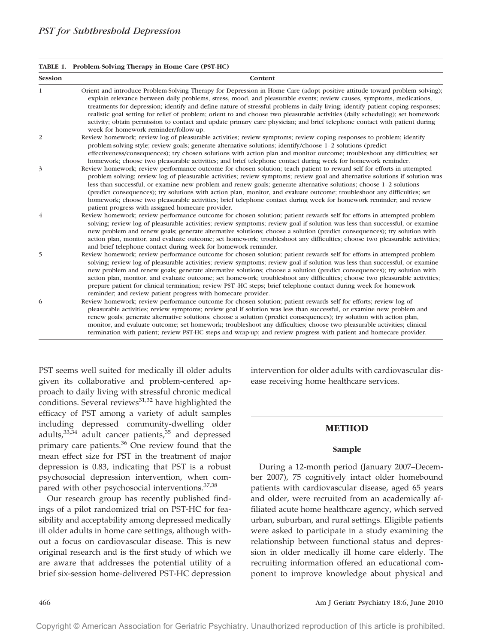|                | TABLE 1. Problem-Solving Therapy in Home Care (PST-HC)                                                                                                                                                                                                                                                                                                                                                                                                                                                                                                                                                                                                                                                 |
|----------------|--------------------------------------------------------------------------------------------------------------------------------------------------------------------------------------------------------------------------------------------------------------------------------------------------------------------------------------------------------------------------------------------------------------------------------------------------------------------------------------------------------------------------------------------------------------------------------------------------------------------------------------------------------------------------------------------------------|
| <b>Session</b> | Content                                                                                                                                                                                                                                                                                                                                                                                                                                                                                                                                                                                                                                                                                                |
|                | Orient and introduce Problem-Solving Therapy for Depression in Home Care (adopt positive attitude toward problem solving);<br>explain relevance between daily problems, stress, mood, and pleasurable events; review causes, symptoms, medications,<br>treatments for depression; identify and define nature of stressful problems in daily living; identify patient coping responses;<br>realistic goal setting for relief of problem; orient to and choose two pleasurable activities (daily scheduling); set homework<br>activity; obtain permission to contact and update primary care physician; and brief telephone contact with patient during<br>week for homework reminder/follow-up.         |
| $\overline{2}$ | Review homework; review log of pleasurable activities; review symptoms; review coping responses to problem; identify<br>problem-solving style; review goals; generate alternative solutions; identify/choose 1-2 solutions (predict<br>effectiveness/consequences); try chosen solutions with action plan and monitor outcome; troubleshoot any difficulties; set<br>homework; choose two pleasurable activities; and brief telephone contact during week for homework reminder.                                                                                                                                                                                                                       |
| 3              | Review homework; review performance outcome for chosen solution; teach patient to reward self for efforts in attempted<br>problem solving; review log of pleasurable activities; review symptoms; review goal and alternative solutions if solution was<br>less than successful, or examine new problem and renew goals; generate alternative solutions; choose 1-2 solutions<br>(predict consequences); try solutions with action plan, monitor, and evaluate outcome; troubleshoot any difficulties; set<br>homework; choose two pleasurable activities; brief telephone contact during week for homework reminder; and review<br>patient progress with assigned homecare provider.                  |
| $\overline{4}$ | Review homework; review performance outcome for chosen solution; patient rewards self for efforts in attempted problem<br>solving; review log of pleasurable activities; review symptoms; review goal if solution was less than successful, or examine<br>new problem and renew goals; generate alternative solutions; choose a solution (predict consequences); try solution with<br>action plan, monitor, and evaluate outcome; set homework; troubleshoot any difficulties; choose two pleasurable activities;<br>and brief telephone contact during week for homework reminder.                                                                                                                    |
| 5              | Review homework; review performance outcome for chosen solution; patient rewards self for efforts in attempted problem<br>solving; review log of pleasurable activities; review symptoms; review goal if solution was less than successful, or examine<br>new problem and renew goals; generate alternative solutions; choose a solution (predict consequences); try solution with<br>action plan, monitor, and evaluate outcome; set homework; troubleshoot any difficulties; choose two pleasurable activities;<br>prepare patient for clinical termination; review PST -HC steps; brief telephone contact during week for homework<br>reminder; and review patient progress with homecare provider. |
| 6              | Review homework; review performance outcome for chosen solution; patient rewards self for efforts; review log of<br>pleasurable activities; review symptoms; review goal if solution was less than successful, or examine new problem and<br>renew goals; generate alternative solutions; choose a solution (predict consequences); try solution with action plan,<br>monitor, and evaluate outcome; set homework; troubleshoot any difficulties; choose two pleasurable activities; clinical<br>termination with patient: review PST-HC steps and wrap-up: and review progress with patient and homecare provider.                                                                                    |

PST seems well suited for medically ill older adults given its collaborative and problem-centered approach to daily living with stressful chronic medical conditions. Several reviews $31,32$  have highlighted the efficacy of PST among a variety of adult samples including depressed community-dwelling older adults,  $33,34$  adult cancer patients,  $35$  and depressed primary care patients.<sup>36</sup> One review found that the mean effect size for PST in the treatment of major depression is 0.83, indicating that PST is a robust psychosocial depression intervention, when compared with other psychosocial interventions.<sup>37,38</sup>

Our research group has recently published findings of a pilot randomized trial on PST-HC for feasibility and acceptability among depressed medically ill older adults in home care settings, although without a focus on cardiovascular disease. This is new original research and is the first study of which we are aware that addresses the potential utility of a brief six-session home-delivered PST-HC depression intervention for older adults with cardiovascular disease receiving home healthcare services.

# **METHOD**

# **Sample**

During a 12-month period (January 2007–December 2007), 75 cognitively intact older homebound patients with cardiovascular disease, aged 65 years and older, were recruited from an academically affiliated acute home healthcare agency, which served urban, suburban, and rural settings. Eligible patients were asked to participate in a study examining the relationship between functional status and depression in older medically ill home care elderly. The recruiting information offered an educational component to improve knowledge about physical and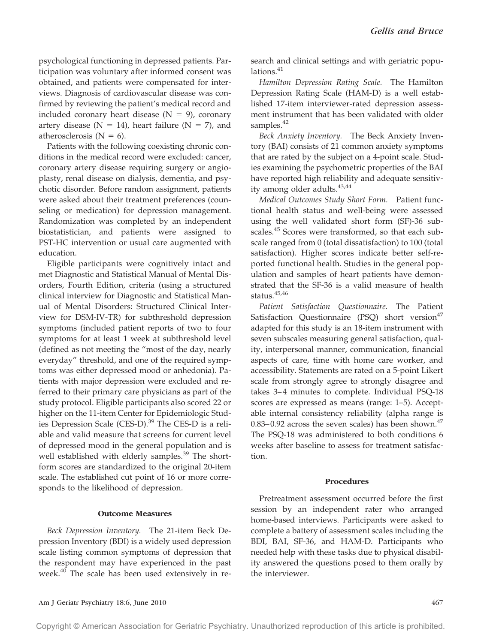psychological functioning in depressed patients. Participation was voluntary after informed consent was obtained, and patients were compensated for interviews. Diagnosis of cardiovascular disease was confirmed by reviewing the patient's medical record and included coronary heart disease  $(N = 9)$ , coronary artery disease ( $N = 14$ ), heart failure ( $N = 7$ ), and atherosclerosis ( $N = 6$ ).

Patients with the following coexisting chronic conditions in the medical record were excluded: cancer, coronary artery disease requiring surgery or angioplasty, renal disease on dialysis, dementia, and psychotic disorder. Before random assignment, patients were asked about their treatment preferences (counseling or medication) for depression management. Randomization was completed by an independent biostatistician, and patients were assigned to PST-HC intervention or usual care augmented with education.

Eligible participants were cognitively intact and met Diagnostic and Statistical Manual of Mental Disorders, Fourth Edition, criteria (using a structured clinical interview for Diagnostic and Statistical Manual of Mental Disorders: Structured Clinical Interview for DSM-IV-TR) for subthreshold depression symptoms (included patient reports of two to four symptoms for at least 1 week at subthreshold level (defined as not meeting the "most of the day, nearly everyday" threshold, and one of the required symptoms was either depressed mood or anhedonia). Patients with major depression were excluded and referred to their primary care physicians as part of the study protocol. Eligible participants also scored 22 or higher on the 11-item Center for Epidemiologic Studies Depression Scale (CES-D).<sup>39</sup> The CES-D is a reliable and valid measure that screens for current level of depressed mood in the general population and is well established with elderly samples.<sup>39</sup> The shortform scores are standardized to the original 20-item scale. The established cut point of 16 or more corresponds to the likelihood of depression.

### **Outcome Measures**

*Beck Depression Inventory.* The 21-item Beck Depression Inventory (BDI) is a widely used depression scale listing common symptoms of depression that the respondent may have experienced in the past week.40 The scale has been used extensively in research and clinical settings and with geriatric populations.<sup>41</sup>

*Hamilton Depression Rating Scale.* The Hamilton Depression Rating Scale (HAM-D) is a well established 17-item interviewer-rated depression assessment instrument that has been validated with older samples.<sup>42</sup>

*Beck Anxiety Inventory.* The Beck Anxiety Inventory (BAI) consists of 21 common anxiety symptoms that are rated by the subject on a 4-point scale. Studies examining the psychometric properties of the BAI have reported high reliability and adequate sensitivity among older adults.<sup>43,44</sup>

*Medical Outcomes Study Short Form.* Patient functional health status and well-being were assessed using the well validated short form (SF)-36 subscales.<sup>45</sup> Scores were transformed, so that each subscale ranged from 0 (total dissatisfaction) to 100 (total satisfaction). Higher scores indicate better self-reported functional health. Studies in the general population and samples of heart patients have demonstrated that the SF-36 is a valid measure of health status.<sup>45,46</sup>

*Patient Satisfaction Questionnaire.* The Patient Satisfaction Questionnaire  $(PSQ)$  short version<sup>47</sup> adapted for this study is an 18-item instrument with seven subscales measuring general satisfaction, quality, interpersonal manner, communication, financial aspects of care, time with home care worker, and accessibility. Statements are rated on a 5-point Likert scale from strongly agree to strongly disagree and takes 3–4 minutes to complete. Individual PSQ-18 scores are expressed as means (range: 1–5). Acceptable internal consistency reliability (alpha range is 0.83–0.92 across the seven scales) has been shown. $^{47}$ The PSQ-18 was administered to both conditions 6 weeks after baseline to assess for treatment satisfaction.

### **Procedures**

Pretreatment assessment occurred before the first session by an independent rater who arranged home-based interviews. Participants were asked to complete a battery of assessment scales including the BDI, BAI, SF-36, and HAM-D. Participants who needed help with these tasks due to physical disability answered the questions posed to them orally by the interviewer.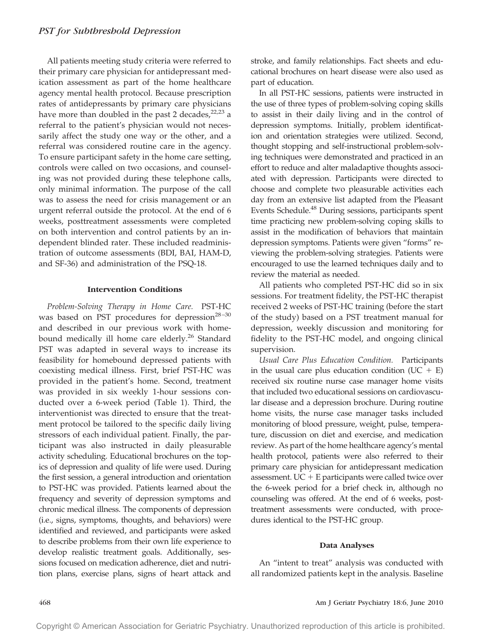All patients meeting study criteria were referred to their primary care physician for antidepressant medication assessment as part of the home healthcare agency mental health protocol. Because prescription rates of antidepressants by primary care physicians have more than doubled in the past 2 decades, $22,23$  a referral to the patient's physician would not necessarily affect the study one way or the other, and a referral was considered routine care in the agency. To ensure participant safety in the home care setting, controls were called on two occasions, and counseling was not provided during these telephone calls, only minimal information. The purpose of the call was to assess the need for crisis management or an urgent referral outside the protocol. At the end of 6 weeks, posttreatment assessments were completed on both intervention and control patients by an independent blinded rater. These included readministration of outcome assessments (BDI, BAI, HAM-D, and SF-36) and administration of the PSQ-18.

## **Intervention Conditions**

*Problem-Solving Therapy in Home Care.* PST-HC was based on PST procedures for depression $28-30$ and described in our previous work with homebound medically ill home care elderly.<sup>26</sup> Standard PST was adapted in several ways to increase its feasibility for homebound depressed patients with coexisting medical illness. First, brief PST-HC was provided in the patient's home. Second, treatment was provided in six weekly 1-hour sessions conducted over a 6-week period (Table 1). Third, the interventionist was directed to ensure that the treatment protocol be tailored to the specific daily living stressors of each individual patient. Finally, the participant was also instructed in daily pleasurable activity scheduling. Educational brochures on the topics of depression and quality of life were used. During the first session, a general introduction and orientation to PST-HC was provided. Patients learned about the frequency and severity of depression symptoms and chronic medical illness. The components of depression (i.e., signs, symptoms, thoughts, and behaviors) were identified and reviewed, and participants were asked to describe problems from their own life experience to develop realistic treatment goals. Additionally, sessions focused on medication adherence, diet and nutrition plans, exercise plans, signs of heart attack and stroke, and family relationships. Fact sheets and educational brochures on heart disease were also used as part of education.

In all PST-HC sessions, patients were instructed in the use of three types of problem-solving coping skills to assist in their daily living and in the control of depression symptoms. Initially, problem identification and orientation strategies were utilized. Second, thought stopping and self-instructional problem-solving techniques were demonstrated and practiced in an effort to reduce and alter maladaptive thoughts associated with depression. Participants were directed to choose and complete two pleasurable activities each day from an extensive list adapted from the Pleasant Events Schedule.48 During sessions, participants spent time practicing new problem-solving coping skills to assist in the modification of behaviors that maintain depression symptoms. Patients were given "forms" reviewing the problem-solving strategies. Patients were encouraged to use the learned techniques daily and to review the material as needed.

All patients who completed PST-HC did so in six sessions. For treatment fidelity, the PST-HC therapist received 2 weeks of PST-HC training (before the start of the study) based on a PST treatment manual for depression, weekly discussion and monitoring for fidelity to the PST-HC model, and ongoing clinical supervision.

*Usual Care Plus Education Condition.* Participants in the usual care plus education condition (UC  $+$  E) received six routine nurse case manager home visits that included two educational sessions on cardiovascular disease and a depression brochure. During routine home visits, the nurse case manager tasks included monitoring of blood pressure, weight, pulse, temperature, discussion on diet and exercise, and medication review. As part of the home healthcare agency's mental health protocol, patients were also referred to their primary care physician for antidepressant medication assessment.  $UC + E$  participants were called twice over the 6-week period for a brief check in, although no counseling was offered. At the end of 6 weeks, posttreatment assessments were conducted, with procedures identical to the PST-HC group.

### **Data Analyses**

An "intent to treat" analysis was conducted with all randomized patients kept in the analysis. Baseline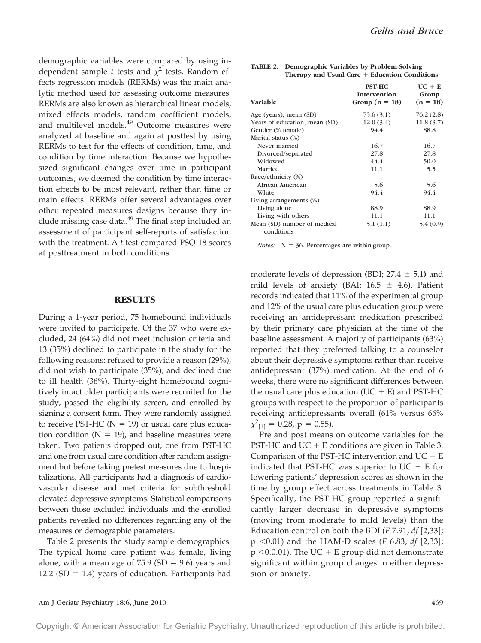demographic variables were compared by using independent sample *t* tests and  $\chi^2$  tests. Random effects regression models (RERMs) was the main analytic method used for assessing outcome measures. RERMs are also known as hierarchical linear models, mixed effects models, random coefficient models, and multilevel models.<sup>49</sup> Outcome measures were analyzed at baseline and again at posttest by using RERMs to test for the effects of condition, time, and condition by time interaction. Because we hypothesized significant changes over time in participant outcomes, we deemed the condition by time interaction effects to be most relevant, rather than time or main effects. RERMs offer several advantages over other repeated measures designs because they include missing case data. $49$  The final step included an assessment of participant self-reports of satisfaction with the treatment. A *t* test compared PSQ-18 scores at posttreatment in both conditions.

# **RESULTS**

During a 1-year period, 75 homebound individuals were invited to participate. Of the 37 who were excluded, 24 (64%) did not meet inclusion criteria and 13 (35%) declined to participate in the study for the following reasons: refused to provide a reason (29%), did not wish to participate (35%), and declined due to ill health (36%). Thirty-eight homebound cognitively intact older participants were recruited for the study, passed the eligibility screen, and enrolled by signing a consent form. They were randomly assigned to receive PST-HC ( $N = 19$ ) or usual care plus education condition ( $N = 19$ ), and baseline measures were taken. Two patients dropped out, one from PST-HC and one from usual care condition after random assignment but before taking pretest measures due to hospitalizations. All participants had a diagnosis of cardiovascular disease and met criteria for subthreshold elevated depressive symptoms. Statistical comparisons between those excluded individuals and the enrolled patients revealed no differences regarding any of the measures or demographic parameters.

Table 2 presents the study sample demographics. The typical home care patient was female, living alone, with a mean age of  $75.9$  (SD = 9.6) years and 12.2 (SD  $= 1.4$ ) years of education. Participants had

| Therapy and Usual Care + Education Conditions |                                                          |                                                             |  |  |
|-----------------------------------------------|----------------------------------------------------------|-------------------------------------------------------------|--|--|
| <b>Variable</b>                               | <b>PST-HC</b><br><b>Intervention</b><br>Group $(n = 18)$ | $\mathbf{U} \mathbf{C} + \mathbf{E}$<br>Group<br>$(n = 18)$ |  |  |
| Age (years), mean (SD)                        | 75.6(3.1)                                                | 76.2(2.8)                                                   |  |  |
| Years of education, mean (SD)                 | 12.0(3.4)                                                | 11.8(3.7)                                                   |  |  |
| Gender (% female)                             | 94.4                                                     | 88.8                                                        |  |  |
| Marital status (%)                            |                                                          |                                                             |  |  |
| Never married                                 | 16.7                                                     | 16.7                                                        |  |  |
| Divorced/separated                            | 27.8                                                     | 27.8                                                        |  |  |
| Widowed                                       | 44.4                                                     | 50.0                                                        |  |  |
| Married                                       | 11.1                                                     | 5.5                                                         |  |  |
| Race/ethnicity (%)                            |                                                          |                                                             |  |  |
| African American                              | 5.6                                                      | 5.6                                                         |  |  |
| White                                         | 94.4                                                     | 94.4                                                        |  |  |
| Living arrangements (%)                       |                                                          |                                                             |  |  |
| Living alone                                  | 88.9                                                     | 88.9                                                        |  |  |
| Living with others                            | 11.1                                                     | 11.1                                                        |  |  |
| Mean (SD) number of medical<br>conditions     | 5.1(1.1)                                                 | 5.4(0.9)                                                    |  |  |
| $\mathbf{v}$ and $\mathbf{v}$                 |                                                          |                                                             |  |  |

**TABLE 2. Demographic Variables by Problem-Solving**

*Notes:*  $N = 36$ . Percentages are within-group.

moderate levels of depression (BDI;  $27.4 \pm 5.1$ ) and mild levels of anxiety (BAI;  $16.5 \pm 4.6$ ). Patient records indicated that 11% of the experimental group and 12% of the usual care plus education group were receiving an antidepressant medication prescribed by their primary care physician at the time of the baseline assessment. A majority of participants (63%) reported that they preferred talking to a counselor about their depressive symptoms rather than receive antidepressant (37%) medication. At the end of 6 weeks, there were no significant differences between the usual care plus education (UC  $+$  E) and PST-HC groups with respect to the proportion of participants receiving antidepressants overall (61% versus 66%  $\chi^2_{[1]} = 0.28$ , p = 0.55).

Pre and post means on outcome variables for the PST-HC and UC  $+$  E conditions are given in Table 3. Comparison of the PST-HC intervention and  $UC + E$ indicated that PST-HC was superior to  $UC + E$  for lowering patients' depression scores as shown in the time by group effect across treatments in Table 3. Specifically, the PST-HC group reported a significantly larger decrease in depressive symptoms (moving from moderate to mild levels) than the Education control on both the BDI (*F* 7.91, *df* [2,33]; p 0.01) and the HAM-D scales (*F* 6.83, *df* [2,33]; p <0.0.01). The UC + E group did not demonstrate significant within group changes in either depression or anxiety.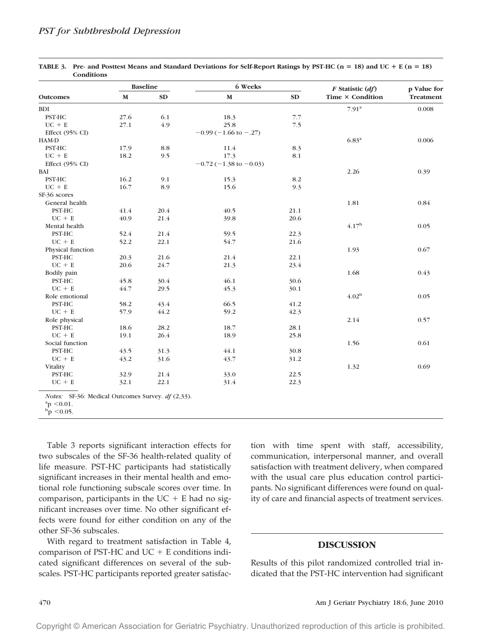|                                                   |             | <b>Baseline</b> | 6 Weeks                       |      | $F$ Statistic $(df)$ | p Value for      |
|---------------------------------------------------|-------------|-----------------|-------------------------------|------|----------------------|------------------|
| <b>Outcomes</b>                                   | $\mathbf M$ | SD              | $\mathbf M$                   | SD   | Time × Condition     | <b>Treatment</b> |
| <b>BDI</b>                                        |             |                 |                               |      | $7.91^a$             | 0.008            |
| PST-HC                                            | 27.6        | 6.1             | 18.3                          | 7.7  |                      |                  |
| $UC + E$                                          | 27.1        | 4.9             | 25.8                          | 7.5  |                      |                  |
| Effect $(95\% \text{ CI})$                        |             |                 | $-0.99$ ( $-1.66$ to $-.27$ ) |      |                      |                  |
| HAM-D                                             |             |                 |                               |      | 6.83 <sup>a</sup>    | 0.006            |
| PST-HC                                            | 17.9        | $\!\!\!\!\!8.8$ | 11.4                          | 8.3  |                      |                  |
| $UC + E$                                          | 18.2        | 9.5             | 17.3                          | 8.1  |                      |                  |
| Effect (95% CI)                                   |             |                 | $-0.72$ (-1.38 to -0.03)      |      |                      |                  |
| BAI                                               |             |                 |                               |      | 2.26                 | 0.39             |
| PST-HC                                            | 16.2        | 9.1             | 15.3                          | 8.2  |                      |                  |
| $UC + E$                                          | 16.7        | 8.9             | 15.6                          | 9.3  |                      |                  |
| SF-36 scores                                      |             |                 |                               |      |                      |                  |
| General health                                    |             |                 |                               |      | 1.81                 | 0.84             |
| PST-HC                                            | 41.4        | 20.4            | 40.5                          | 21.1 |                      |                  |
| $UC + E$                                          | 40.9        | 21.4            | 39.8                          | 20.6 |                      |                  |
| Mental health                                     |             |                 |                               |      | $4.17^{b}$           | 0.05             |
| PST-HC                                            | 52.4        | 21.4            | 59.5                          | 22.3 |                      |                  |
| $UC + E$                                          | 52.2        | 22.1            | 54.7                          | 21.6 |                      |                  |
| Physical function                                 |             |                 |                               |      | 1.93                 | 0.67             |
| PST-HC                                            | 20.3        | 21.6            | 21.4                          | 22.1 |                      |                  |
| $UC + E$                                          | 20.6        | 24.7            | 21.3                          | 23.4 |                      |                  |
| Bodily pain                                       |             |                 |                               |      | 1.68                 | 0.43             |
| PST-HC                                            | 45.8        | 30.4            | 46.1                          | 30.6 |                      |                  |
| $UC + E$                                          | 44.7        | 29.5            | 45.3                          | 30.1 |                      |                  |
| Role emotional                                    |             |                 |                               |      | 4.02 <sup>b</sup>    | 0.05             |
| PST-HC                                            | 58.2        | 43.4            | 66.5                          | 41.2 |                      |                  |
| $UC + E$                                          | 57.9        | 44.2            | 59.2                          | 42.3 |                      |                  |
| Role physical                                     |             |                 |                               |      | 2.14                 | 0.57             |
| PST-HC                                            | 18.6        | 28.2            | 18.7                          | 28.1 |                      |                  |
| $UC + E$                                          | 19.1        | 26.4            | 18.9                          | 25.8 |                      |                  |
| Social function                                   |             |                 |                               |      | 1.56                 | 0.61             |
| <b>PST-HC</b>                                     | 43.5        | 31.3            | 44.1                          | 30.8 |                      |                  |
| $UC + E$                                          | 43.2        | 31.6            | 43.7                          | 31.2 |                      |                  |
| Vitality                                          |             |                 |                               |      | 1.32                 | 0.69             |
| PST-HC                                            | 32.9        | 21.4            | 33.0                          | 22.5 |                      |                  |
| $UC + E$                                          | 32.1        | 22.1            | 31.4                          | 22.3 |                      |                  |
|                                                   |             |                 |                               |      |                      |                  |
| Notes: SF-36: Medical Outcomes Survey. df (2,33). |             |                 |                               |      |                      |                  |
| $a_{\rm p}$ < 0.01.                               |             |                 |                               |      |                      |                  |
| $\rm{^{b}p}$ <0.05.                               |             |                 |                               |      |                      |                  |

TABLE 3. Pre- and Posttest Means and Standard Deviations for Self-Report Ratings by PST-HC (n = 18) and UC + E (n = 18) **Conditions**

Table 3 reports significant interaction effects for two subscales of the SF-36 health-related quality of life measure. PST-HC participants had statistically significant increases in their mental health and emotional role functioning subscale scores over time. In comparison, participants in the  $UC + E$  had no significant increases over time. No other significant effects were found for either condition on any of the other SF-36 subscales.

With regard to treatment satisfaction in Table 4, comparison of PST-HC and  $UC + E$  conditions indicated significant differences on several of the subscales. PST-HC participants reported greater satisfac-

tion with time spent with staff, accessibility, communication, interpersonal manner, and overall satisfaction with treatment delivery, when compared with the usual care plus education control participants. No significant differences were found on quality of care and financial aspects of treatment services.

# **DISCUSSION**

Results of this pilot randomized controlled trial indicated that the PST-HC intervention had significant

470 Am J Geriatr Psychiatry 18:6, June 2010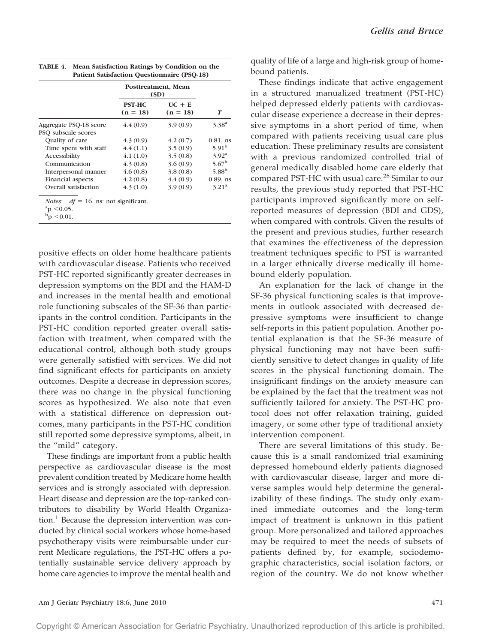|                        | Posttreatment, Mean<br>(SD) |                                                    |                   |
|------------------------|-----------------------------|----------------------------------------------------|-------------------|
|                        | <b>PST-HC</b><br>$(n = 18)$ | $\mathbf{U} \mathbf{C} + \mathbf{E}$<br>$(n = 18)$ | $\boldsymbol{T}$  |
| Aggregate PSQ-18 score | 4.4(0.9)                    | 3.9(0.9)                                           | $3.38^{a}$        |
| PSO subscale scores    |                             |                                                    |                   |
| Quality of care        | 4.3(0.9)                    | 4.2(0.7)                                           | $0.81$ , ns       |
| Time spent with staff  | 4.4(1.1)                    | 3.5(0.9)                                           | 5.91 <sup>b</sup> |
| Accessibility          | 4.1(1.0)                    | 3.5(0.8)                                           | $3.92^{\rm a}$    |
| Communication          | 4.3(0.8)                    | 3.6(0.9)                                           | 5.67 <sup>b</sup> |
| Interpersonal manner   | 4.6(0.8)                    | 3.8(0.8)                                           | 5.88 <sup>b</sup> |
| Financial aspects      | 4.2(0.8)                    | 4.4(0.9)                                           | $0.89$ , ns       |
| Overall satisfaction   | 4.3(1.0)                    | 3.9(0.9)                                           | $3.21^a$          |

| TABLE 4. | Mean Satisfaction Ratings by Condition on the      |
|----------|----------------------------------------------------|
|          | <b>Patient Satisfaction Questionnaire (PSQ-18)</b> |

10. ns: not sig

 $\text{^{a}p}$  < 0.05.

 $\rm{^{b}p}$  <0.01.

positive effects on older home healthcare patients with cardiovascular disease. Patients who received PST-HC reported significantly greater decreases in depression symptoms on the BDI and the HAM-D and increases in the mental health and emotional role functioning subscales of the SF-36 than participants in the control condition. Participants in the PST-HC condition reported greater overall satisfaction with treatment, when compared with the educational control, although both study groups were generally satisfied with services. We did not find significant effects for participants on anxiety outcomes. Despite a decrease in depression scores, there was no change in the physical functioning scores as hypothesized. We also note that even with a statistical difference on depression outcomes, many participants in the PST-HC condition still reported some depressive symptoms, albeit, in the "mild" category.

These findings are important from a public health perspective as cardiovascular disease is the most prevalent condition treated by Medicare home health services and is strongly associated with depression. Heart disease and depression are the top-ranked contributors to disability by World Health Organiza- $\text{tion}^1$  Because the depression intervention was conducted by clinical social workers whose home-based psychotherapy visits were reimbursable under current Medicare regulations, the PST-HC offers a potentially sustainable service delivery approach by home care agencies to improve the mental health and quality of life of a large and high-risk group of homebound patients.

These findings indicate that active engagement in a structured manualized treatment (PST-HC) helped depressed elderly patients with cardiovascular disease experience a decrease in their depressive symptoms in a short period of time, when compared with patients receiving usual care plus education. These preliminary results are consistent with a previous randomized controlled trial of general medically disabled home care elderly that compared PST-HC with usual care.<sup>26</sup> Similar to our results, the previous study reported that PST-HC participants improved significantly more on selfreported measures of depression (BDI and GDS), when compared with controls. Given the results of the present and previous studies, further research that examines the effectiveness of the depression treatment techniques specific to PST is warranted in a larger ethnically diverse medically ill homebound elderly population.

An explanation for the lack of change in the SF-36 physical functioning scales is that improvements in outlook associated with decreased depressive symptoms were insufficient to change self-reports in this patient population. Another potential explanation is that the SF-36 measure of physical functioning may not have been sufficiently sensitive to detect changes in quality of life scores in the physical functioning domain. The insignificant findings on the anxiety measure can be explained by the fact that the treatment was not sufficiently tailored for anxiety. The PST-HC protocol does not offer relaxation training, guided imagery, or some other type of traditional anxiety intervention component.

There are several limitations of this study. Because this is a small randomized trial examining depressed homebound elderly patients diagnosed with cardiovascular disease, larger and more diverse samples would help determine the generalizability of these findings. The study only examined immediate outcomes and the long-term impact of treatment is unknown in this patient group. More personalized and tailored approaches may be required to meet the needs of subsets of patients defined by, for example, sociodemographic characteristics, social isolation factors, or region of the country. We do not know whether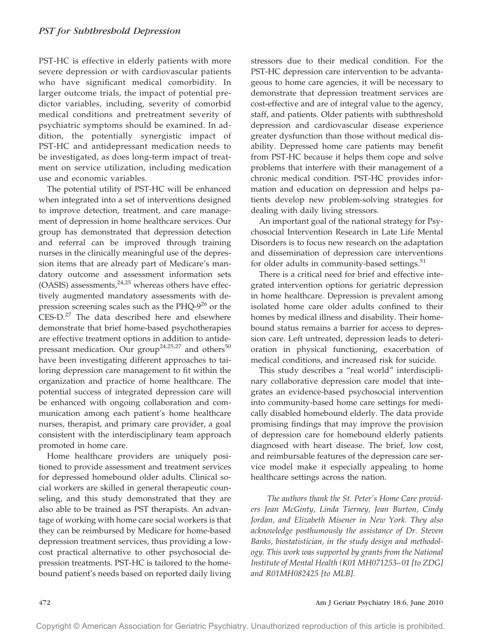PST-HC is effective in elderly patients with more severe depression or with cardiovascular patients who have significant medical comorbidity. In larger outcome trials, the impact of potential predictor variables, including, severity of comorbid medical conditions and pretreatment severity of psychiatric symptoms should be examined. In addition, the potentially synergistic impact of PST-HC and antidepressant medication needs to be investigated, as does long-term impact of treatment on service utilization, including medication use and economic variables.

The potential utility of PST-HC will be enhanced when integrated into a set of interventions designed to improve detection, treatment, and care management of depression in home healthcare services. Our group has demonstrated that depression detection and referral can be improved through training nurses in the clinically meaningful use of the depression items that are already part of Medicare's mandatory outcome and assessment information sets (OASIS) assessments,  $24.25$  whereas others have effectively augmented mandatory assessments with depression screening scales such as the PHQ- $9^{26}$  or the CES-D.<sup>27</sup> The data described here and elsewhere demonstrate that brief home-based psychotherapies are effective treatment options in addition to antidepressant medication. Our group<sup>24,25,27</sup> and others<sup>50</sup> have been investigating different approaches to tailoring depression care management to fit within the organization and practice of home healthcare. The potential success of integrated depression care will be enhanced with ongoing collaboration and communication among each patient's home healthcare nurses, therapist, and primary care provider, a goal consistent with the interdisciplinary team approach promoted in home care.

Home healthcare providers are uniquely positioned to provide assessment and treatment services for depressed homebound older adults. Clinical social workers are skilled in general therapeutic counseling, and this study demonstrated that they are also able to be trained as PST therapists. An advantage of working with home care social workers is that they can be reimbursed by Medicare for home-based depression treatment services, thus providing a lowcost practical alternative to other psychosocial depression treatments. PST-HC is tailored to the homebound patient's needs based on reported daily living stressors due to their medical condition. For the PST-HC depression care intervention to be advantageous to home care agencies, it will be necessary to demonstrate that depression treatment services are cost-effective and are of integral value to the agency, staff, and patients. Older patients with subthreshold depression and cardiovascular disease experience greater dysfunction than those without medical disability. Depressed home care patients may benefit from PST-HC because it helps them cope and solve problems that interfere with their management of a chronic medical condition. PST-HC provides information and education on depression and helps patients develop new problem-solving strategies for dealing with daily living stressors.

An important goal of the national strategy for Psychosocial Intervention Research in Late Life Mental Disorders is to focus new research on the adaptation and dissemination of depression care interventions for older adults in community-based settings. $51$ 

There is a critical need for brief and effective integrated intervention options for geriatric depression in home healthcare. Depression is prevalent among isolated home care older adults confined to their homes by medical illness and disability. Their homebound status remains a barrier for access to depression care. Left untreated, depression leads to deterioration in physical functioning, exacerbation of medical conditions, and increased risk for suicide.

This study describes a "real world" interdisciplinary collaborative depression care model that integrates an evidence-based psychosocial intervention into community-based home care settings for medically disabled homebound elderly. The data provide promising findings that may improve the provision of depression care for homebound elderly patients diagnosed with heart disease. The brief, low cost, and reimbursable features of the depression care service model make it especially appealing to home healthcare settings across the nation.

*The authors thank the St. Peter's Home Care providers Jean McGinty, Linda Tierney, Jean Burton, Cindy Jordan, and Elizabeth Misener in New York. They also acknowledge posthumously the assistance of Dr. Steven Banks, biostatistician, in the study design and methodology. This work was supported by grants from the National Institute of Mental Health (K01 MH071253– 01 [to ZDG] and R01MH082425 [to MLB].*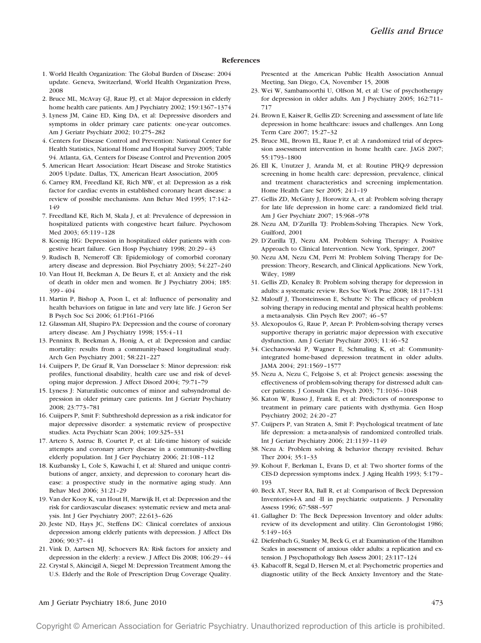#### **References**

- 1. World Health Organization: The Global Burden of Disease: 2004 update. Geneva, Switzerland, World Health Organization Press, 2008
- 2. Bruce ML, McAvay GJ, Raue PJ, et al: Major depression in elderly home health care patients. Am J Psychiatry 2002; 159:1367-1374
- 3. Lyness JM, Caine ED, King DA, et al: Depressive disorders and symptoms in older primary care patients: one-year outcomes. Am J Geriatr Psychiatr 2002; 10:275–282
- 4. Centers for Disease Control and Prevention: National Center for Health Statistics, National Home and Hospital Survey 2005; Table 94. Atlanta, GA, Centers for Disease Control and Prevention 2005
- 5. American Heart Association: Heart Disease and Stroke Statistics 2005 Update. Dallas, TX, American Heart Association, 2005
- 6. Carney RM, Freedland KE, Rich MW, et al: Depression as a risk factor for cardiac events in established coronary heart disease: a review of possible mechanisms. Ann Behav Med 1995; 17:142– 149
- 7. Freedland KE, Rich M, Skala J, et al: Prevalence of depression in hospitalized patients with congestive heart failure. Psychosom Med 2003; 65:119 –128
- 8. Koenig HG: Depression in hospitalized older patients with congestive heart failure. Gen Hosp Psychiatry 1998; 20:29 – 43
- 9. Rudisch B, Nemeroff CB: Epidemiology of comorbid coronary artery disease and depression. Biol Psychiatry 2003; 54:227–240
- 10. Van Hout H, Beekman A, De Beurs E, et al: Anxiety and the risk of death in older men and women. Br J Psychiatry 2004; 185: 399 – 404
- 11. Martin P, Bishop A, Poon L, et al: Influence of personality and health behaviors on fatigue in late and very late life. J Geron Ser B Psych Soc Sci 2006; 61:P161–P166
- 12. Glassman AH, Shapiro PA: Depression and the course of coronary artery disease. Am J Psychiatry 1998; 155:4 –11
- 13. Penninx B, Beekman A, Honig A, et al: Depression and cardiac mortality: results from a community-based longitudinal study. Arch Gen Psychiatry 2001; 58:221–227
- 14. Cuijpers P, De Graaf R, Van Dorsselaer S: Minor depression: risk profiles, functional disability, health care use and risk of developing major depression. J Affect Disord 2004; 79:71–79
- 15. Lyness J: Naturalistic outcomes of minor and subsyndromal depression in older primary care patients. Int J Geriatr Psychiatry 2008; 23:773–781
- 16. Cuijpers P, Smit F: Subthreshold depression as a risk indicator for major depressive disorder: a systematic review of prospective studies. Acta Psychiatr Scan 2004; 109:325–331
- 17. Artero S, Astruc B, Courtet P, et al: Life-time history of suicide attempts and coronary artery disease in a community-dwelling elderly population. Int J Ger Psychiatry 2006; 21:108 –112
- 18. Kuzbansky L, Cole S, Kawachi I, et al: Shared and unique contributions of anger, anxiety, and depression to coronary heart disease: a prospective study in the normative aging study. Ann Behav Med 2006; 31:21–29
- 19. Van der Kooy K, van Hout H, Marwijk H, et al: Depression and the risk for cardiovascular diseases: systematic review and meta analysis. Int J Ger Psychiatry 2007; 22:613– 626
- 20. Jeste ND, Hays JC, Steffens DC: Clinical correlates of anxious depression among elderly patients with depression. J Affect Dis 2006; 90:37– 41
- 21. Vink D, Aartsen MJ, Schoevers RA: Risk factors for anxiety and depression in the elderly: a review. J Affect Dis 2008; 106:29 – 44
- 22. Crystal S, Akincigil A, Siegel M: Depression Treatment Among the U.S. Elderly and the Role of Prescription Drug Coverage Quality.

Presented at the American Public Health Association Annual Meeting, San Diego, CA, November 15, 2008

- 23. Wei W, Sambamoorthi U, Olfson M, et al: Use of psychotherapy for depression in older adults. Am J Psychiatry 2005; 162:711– 717
- 24. Brown E, Kaiser R, Gellis ZD: Screening and assessment of late life depression in home healthcare: issues and challenges. Ann Long Term Care 2007; 15:27–32
- 25. Bruce ML, Brown EL, Raue P, et al: A randomized trial of depression assessment intervention in home health care. JAGS 2007; 55:1793–1800
- 26. Ell K, Unutzer J, Aranda M, et al: Routine PHQ-9 depression screening in home health care: depression, prevalence, clinical and treatment characteristics and screening implementation. Home Health Care Ser 2005; 24:1–19
- 27. Gellis ZD, McGinty J, Horowitz A, et al: Problem solving therapy for late life depression in home care: a randomized field trial. Am J Ger Psychiatr 2007; 15:968 –978
- 28. Nezu AM, D'Zurilla TJ: Problem-Solving Therapies. New York, Guilford, 2001
- 29. D'Zurilla TJ, Nezu AM. Problem Solving Therapy: A Positive Approach to Clinical Intervention. New York, Springer, 2007
- 30. Nezu AM, Nezu CM, Perri M: Problem Solving Therapy for Depression: Theory, Research, and Clinical Applications. New York, Wiley, 1989
- 31. Gellis ZD, Kenaley B: Problem solving therapy for depression in adults: a systematic review. Res Soc Work Prac 2008; 18:117–131
- 32. Malouff J, Thorsteinsson E, Schutte N: The efficacy of problem solving therapy in reducing mental and physical health problems: a meta-analysis. Clin Psych Rev 2007; 46 –57
- 33. Alexopoulos G, Raue P, Arean P: Problem-solving therapy verses supportive therapy in geriatric major depression with executive dysfunction. Am J Geriatr Psychiatr 2003; 11:46 –52
- 34. Ciechanowski P, Wagner E, Schmaling K, et al: Communityintegrated home-based depression treatment in older adults. JAMA 2004; 291:1569 –1577
- 35. Nezu A, Nezu C, Felgoise S, et al: Project genesis: assessing the effectiveness of problem-solving therapy for distressed adult cancer patients. J Consult Clin Psych 2003; 71:1036 –1048
- 36. Katon W, Russo J, Frank E, et al: Predictors of nonresponse to treatment in primary care patients with dysthymia. Gen Hosp Psychiatry 2002; 24:20 –27
- 37. Cuijpers P, van Straten A, Smit F: Psychological treatment of late life depression: a meta-analysis of randomized controlled trials. Int J Geriatr Psychiatry 2006; 21:1139 –1149
- 38. Nezu A: Problem solving & behavior therapy revisited. Behav Ther 2004; 35:1–33
- 39. Kohout F, Berkman L, Evans D, et al: Two shorter forms of the CES-D depression symptoms index. J Aging Health 1993; 5:179 – 193
- 40. Beck AT, Steer RA, Ball R, et al: Comparison of Beck Depression Inventories-I-A and -II in psychiatric outpatients. J Personality Assess 1996; 67:588 –597
- 41. Gallagher D: The Beck Depression Inventory and older adults: review of its development and utility. Clin Gerontologist 1986; 5:149 –163
- 42. Diefenbach G, Stanley M, Beck G, et al: Examination of the Hamilton Scales in assessment of anxious older adults: a replication and extension. J Psychopathology Beh Assess 2001; 23:117–124
- 43. Kabacoff R, Segal D, Hersen M, et al: Psychometric properties and diagnostic utility of the Beck Anxiety Inventory and the State-

#### Am J Geriatr Psychiatry 18:6, June 2010 473